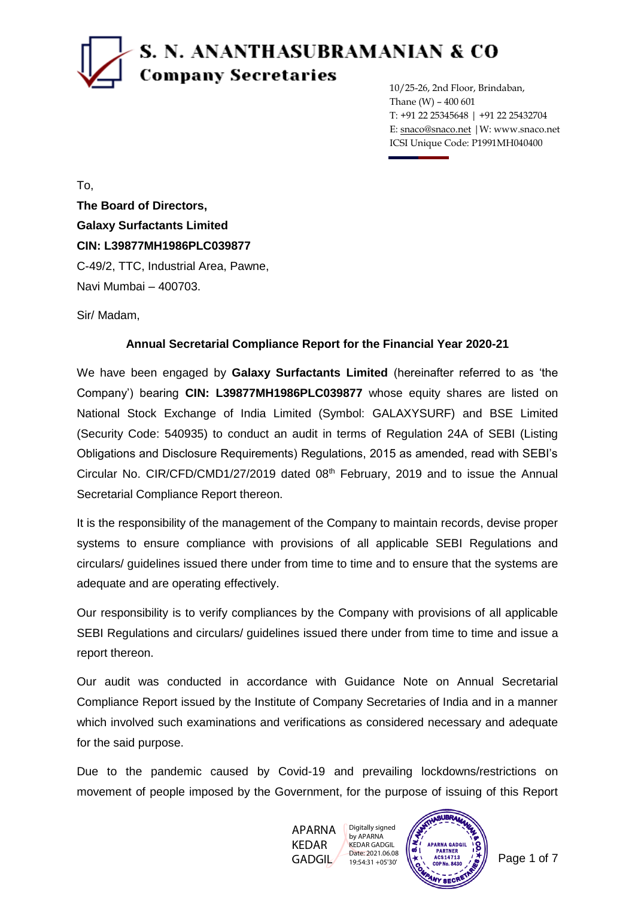## S. N. ANANTHASUBRAMANIAN & CO **Company Secretaries**

10/25-26, 2nd Floor, Brindaban, Thane (W) – 400 601 T: +91 22 25345648 | +91 22 25432704 E: snaco@snaco.net |W: www.snaco.net ICSI Unique Code: P1991MH040400

To, **The Board of Directors, Galaxy Surfactants Limited CIN: L39877MH1986PLC039877** C-49/2, TTC, Industrial Area, Pawne, Navi Mumbai – 400703.

Sir/ Madam,

#### **Annual Secretarial Compliance Report for the Financial Year 2020-21**

We have been engaged by **Galaxy Surfactants Limited** (hereinafter referred to as 'the Company') bearing **CIN: L39877MH1986PLC039877** whose equity shares are listed on National Stock Exchange of India Limited (Symbol: GALAXYSURF) and BSE Limited (Security Code: 540935) to conduct an audit in terms of Regulation 24A of SEBI (Listing Obligations and Disclosure Requirements) Regulations, 2015 as amended, read with SEBI's Circular No. CIR/CFD/CMD1/27/2019 dated 08<sup>th</sup> February, 2019 and to issue the Annual Secretarial Compliance Report thereon.

It is the responsibility of the management of the Company to maintain records, devise proper systems to ensure compliance with provisions of all applicable SEBI Regulations and circulars/ guidelines issued there under from time to time and to ensure that the systems are adequate and are operating effectively.

Our responsibility is to verify compliances by the Company with provisions of all applicable SEBI Regulations and circulars/ guidelines issued there under from time to time and issue a report thereon.

Our audit was conducted in accordance with Guidance Note on Annual Secretarial Compliance Report issued by the Institute of Company Secretaries of India and in a manner which involved such examinations and verifications as considered necessary and adequate for the said purpose.

Due to the pandemic caused by Covid-19 and prevailing lockdowns/restrictions on movement of people imposed by the Government, for the purpose of issuing of this Report

> APARNA KEDAR GADGIL Digitally signed by APARNA KEDAR GADGIL Date: 2021.06.08 19:54:31 +05'30'

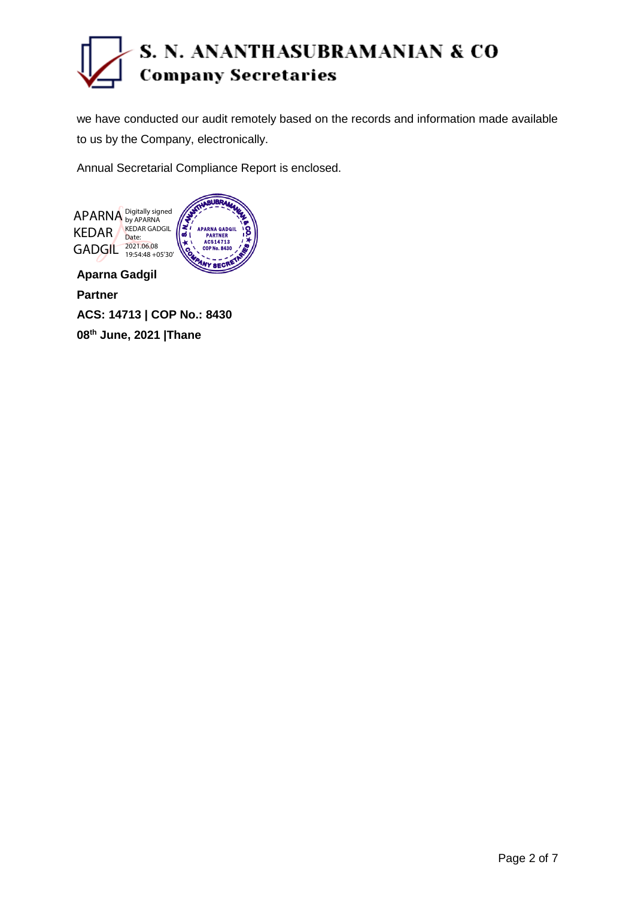

we have conducted our audit remotely based on the records and information made available to us by the Company, electronically.

Annual Secretarial Compliance Report is enclosed.



**Partner**

**ACS: 14713 | COP No.: 8430 08th June, 2021 |Thane**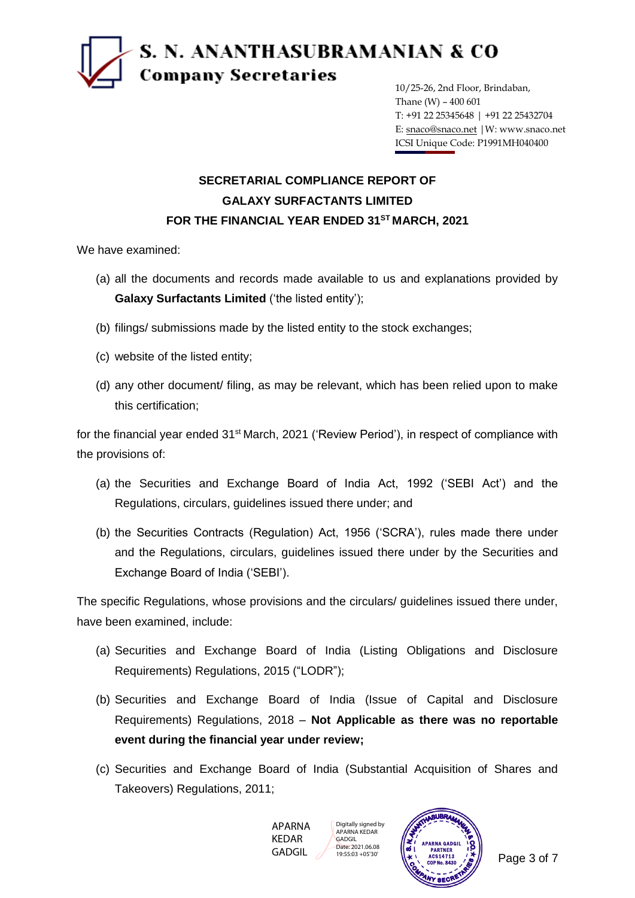

10/25-26, 2nd Floor, Brindaban, Thane (W) – 400 601 T: +91 22 25345648 | +91 22 25432704 E: snaco@snaco.net |W: www.snaco.net ICSI Unique Code: P1991MH040400

#### **SECRETARIAL COMPLIANCE REPORT OF GALAXY SURFACTANTS LIMITED FOR THE FINANCIAL YEAR ENDED 31ST MARCH, 2021**

We have examined:

- (a) all the documents and records made available to us and explanations provided by **Galaxy Surfactants Limited** ('the listed entity');
- (b) filings/ submissions made by the listed entity to the stock exchanges;
- (c) website of the listed entity;
- (d) any other document/ filing, as may be relevant, which has been relied upon to make this certification;

for the financial year ended 31<sup>st</sup> March, 2021 ('Review Period'), in respect of compliance with the provisions of:

- (a) the Securities and Exchange Board of India Act, 1992 ('SEBI Act') and the Regulations, circulars, guidelines issued there under; and
- (b) the Securities Contracts (Regulation) Act, 1956 ('SCRA'), rules made there under and the Regulations, circulars, guidelines issued there under by the Securities and Exchange Board of India ('SEBI').

The specific Regulations, whose provisions and the circulars/ guidelines issued there under, have been examined, include:

- (a) Securities and Exchange Board of India (Listing Obligations and Disclosure Requirements) Regulations, 2015 ("LODR");
- (b) Securities and Exchange Board of India (Issue of Capital and Disclosure Requirements) Regulations, 2018 – **Not Applicable as there was no reportable event during the financial year under review;**
- (c) Securities and Exchange Board of India (Substantial Acquisition of Shares and Takeovers) Regulations, 2011;



Digitally signed by APARNA KEDAR GADGIL Date: 2021.06.08 19:55:03 +05'30'

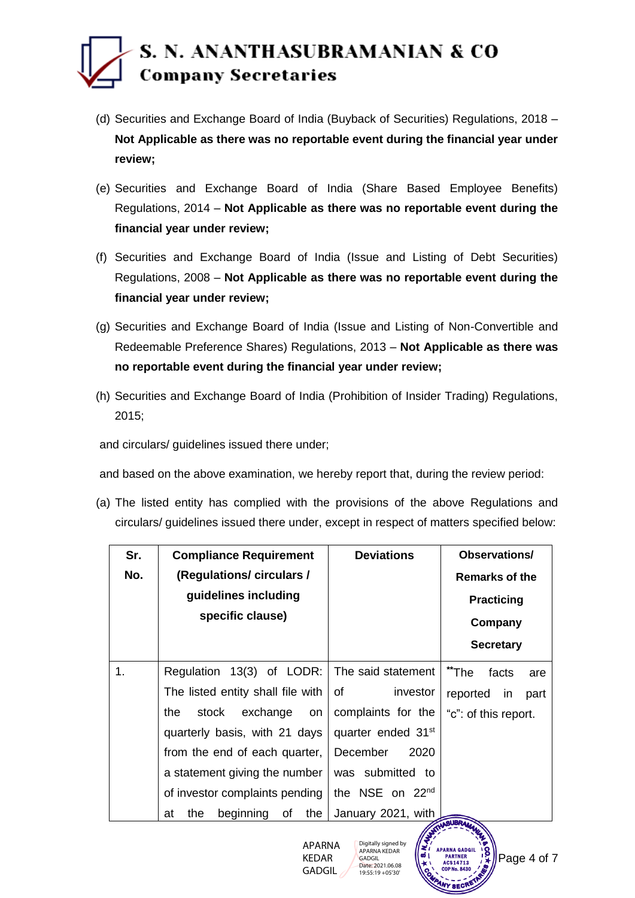#### S. N. ANANTHASUBRAMANIAN & CO **Company Secretaries**

- (d) Securities and Exchange Board of India (Buyback of Securities) Regulations, 2018 **Not Applicable as there was no reportable event during the financial year under review;**
- (e) Securities and Exchange Board of India (Share Based Employee Benefits) Regulations, 2014 – **Not Applicable as there was no reportable event during the financial year under review;**
- (f) Securities and Exchange Board of India (Issue and Listing of Debt Securities) Regulations, 2008 – **Not Applicable as there was no reportable event during the financial year under review;**
- (g) Securities and Exchange Board of India (Issue and Listing of Non-Convertible and Redeemable Preference Shares) Regulations, 2013 – **Not Applicable as there was no reportable event during the financial year under review;**
- (h) Securities and Exchange Board of India (Prohibition of Insider Trading) Regulations, 2015;

and circulars/ guidelines issued there under;

and based on the above examination, we hereby report that, during the review period:

(a) The listed entity has complied with the provisions of the above Regulations and circulars/ guidelines issued there under, except in respect of matters specified below:

| Sr. | <b>Compliance Requirement</b>       | <b>Deviations</b>              | Observations/<br><b>Remarks of the</b> |  |
|-----|-------------------------------------|--------------------------------|----------------------------------------|--|
| No. | (Regulations/circulars/             |                                |                                        |  |
|     | guidelines including                |                                | <b>Practicing</b>                      |  |
|     | specific clause)                    |                                | Company                                |  |
|     |                                     |                                | <b>Secretary</b>                       |  |
| 1.  | Regulation 13(3) of LODR:           | The said statement             | **The<br>facts<br>are                  |  |
|     | The listed entity shall file with   | investor<br>of                 | reported in<br>part                    |  |
|     | exchange<br>the<br>stock<br>on      | complaints for the             | "c": of this report.                   |  |
|     | quarterly basis, with 21 days       | quarter ended 31 <sup>st</sup> |                                        |  |
|     | from the end of each quarter,       | December<br>2020               |                                        |  |
|     | a statement giving the number       | was submitted to               |                                        |  |
|     | of investor complaints pending      | the NSE on $22nd$              |                                        |  |
|     | beginning<br>the<br>of<br>the<br>at | January 2021, with             |                                        |  |

APARNA KEDAR GADGIL

**APARNA GADGIL** COP No. 8430 Digitally signed by APARNA KEDAR Date: 2021.06.08 19:55:19 +05'30'

GADGIL

**PARTNER** ACS 14713 Page 4 of 7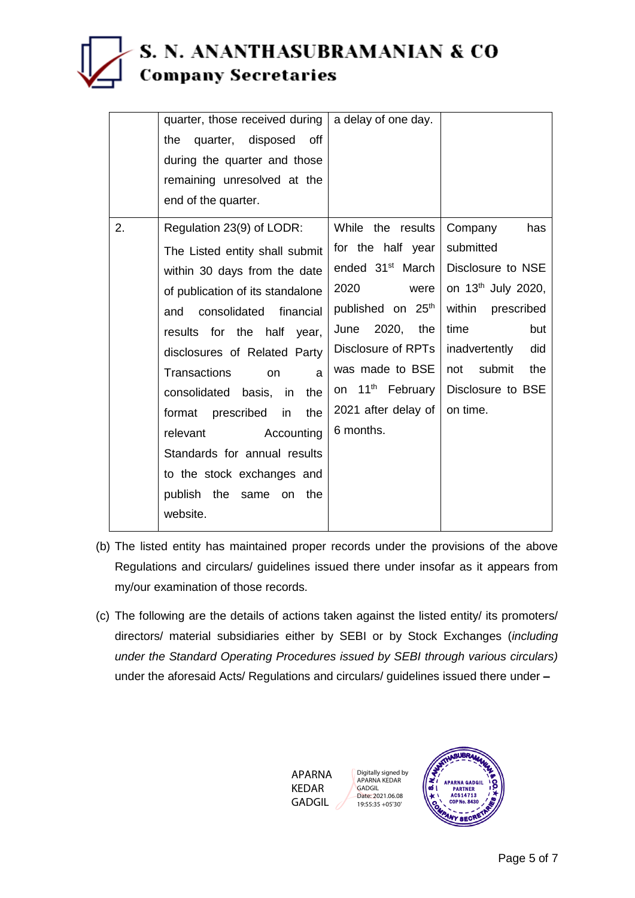### S. N. ANANTHASUBRAMANIAN & CO **Company Secretaries**

|    | quarter, those received during   | a delay of one day.           |                                |
|----|----------------------------------|-------------------------------|--------------------------------|
|    | the<br>quarter, disposed off     |                               |                                |
|    | during the quarter and those     |                               |                                |
|    | remaining unresolved at the      |                               |                                |
|    | end of the quarter.              |                               |                                |
| 2. | Regulation 23(9) of LODR:        | While the results             | Company<br>has                 |
|    | The Listed entity shall submit   | for the half year             | submitted                      |
|    | within 30 days from the date     | ended $31st$ March            | Disclosure to NSE              |
|    | of publication of its standalone | 2020<br>were                  | on 13 <sup>th</sup> July 2020, |
|    | consolidated<br>financial<br>and | published on 25 <sup>th</sup> | within<br>prescribed           |
|    | results for the half year,       | 2020, the<br>June             | time<br>but                    |
|    | disclosures of Related Party     | Disclosure of RPTs            | inadvertently<br>did           |
|    | Transactions<br>on<br>a          | was made to BSE               | submit<br>the<br>not           |
|    | consolidated basis, in<br>the    | on $11^{th}$ February         | Disclosure to BSE              |
|    | format prescribed in<br>the      | 2021 after delay of           | on time.                       |
|    | relevant<br>Accounting           | 6 months.                     |                                |
|    | Standards for annual results     |                               |                                |
|    | to the stock exchanges and       |                               |                                |
|    | publish the same on the          |                               |                                |
|    | website.                         |                               |                                |

- (b) The listed entity has maintained proper records under the provisions of the above Regulations and circulars/ guidelines issued there under insofar as it appears from my/our examination of those records.
- (c) The following are the details of actions taken against the listed entity/ its promoters/ directors/ material subsidiaries either by SEBI or by Stock Exchanges (*including under the Standard Operating Procedures issued by SEBI through various circulars)*  under the aforesaid Acts/ Regulations and circulars/ guidelines issued there under **–**



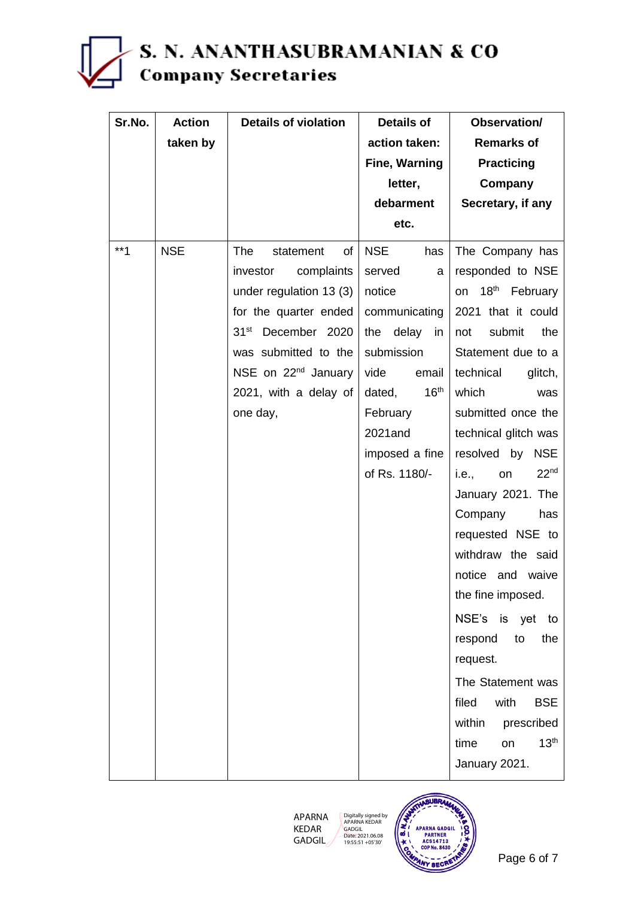# S. N. ANANTHASUBRAMANIAN & CO<br>Company Secretaries

| Sr.No. | <b>Action</b> | <b>Details of violation</b>     | <b>Details of</b>          | Observation/                    |
|--------|---------------|---------------------------------|----------------------------|---------------------------------|
|        | taken by      |                                 | action taken:              | <b>Remarks of</b>               |
|        |               |                                 | <b>Fine, Warning</b>       | <b>Practicing</b>               |
|        |               |                                 | letter,                    | Company                         |
|        |               |                                 | debarment                  | Secretary, if any               |
|        |               |                                 | etc.                       |                                 |
| $***1$ | <b>NSE</b>    | <b>The</b><br>statement<br>of   | NSE<br>has                 | The Company has                 |
|        |               | investor<br>complaints          | served<br>a                | responded to NSE                |
|        |               | under regulation 13 (3)         | notice                     | on 18 <sup>th</sup> February    |
|        |               | for the quarter ended           | communicating              | 2021 that it could              |
|        |               | 31 <sup>st</sup> December 2020  | the delay<br>in            | submit<br>the<br>not            |
|        |               | was submitted to the            | submission                 | Statement due to a              |
|        |               | NSE on 22 <sup>nd</sup> January | vide<br>email              | technical<br>glitch,            |
|        |               | 2021, with a delay of           | 16 <sup>th</sup><br>dated, | which<br>was                    |
|        |               | one day,                        | February                   | submitted once the              |
|        |               |                                 | 2021and                    | technical glitch was            |
|        |               |                                 | imposed a fine             | resolved by<br><b>NSE</b>       |
|        |               |                                 | of Rs. 1180/-              | 22 <sup>nd</sup><br>i.e.,<br>on |
|        |               |                                 |                            | January 2021. The               |
|        |               |                                 |                            | Company<br>has                  |
|        |               |                                 |                            | requested NSE to                |
|        |               |                                 |                            | withdraw the said               |
|        |               |                                 |                            | notice and waive                |
|        |               |                                 |                            | the fine imposed.               |
|        |               |                                 |                            | NSE's is yet to                 |
|        |               |                                 |                            | respond<br>to<br>the            |
|        |               |                                 |                            | request.                        |
|        |               |                                 |                            | The Statement was               |
|        |               |                                 |                            | filed<br>with<br><b>BSE</b>     |
|        |               |                                 |                            | within<br>prescribed            |
|        |               |                                 |                            | 13 <sup>th</sup><br>time<br>on  |
|        |               |                                 |                            | January 2021.                   |



Digitally signed by APARNA KEDAR GADGIL Date: 2021.06.08 19:55:51 +05'30'